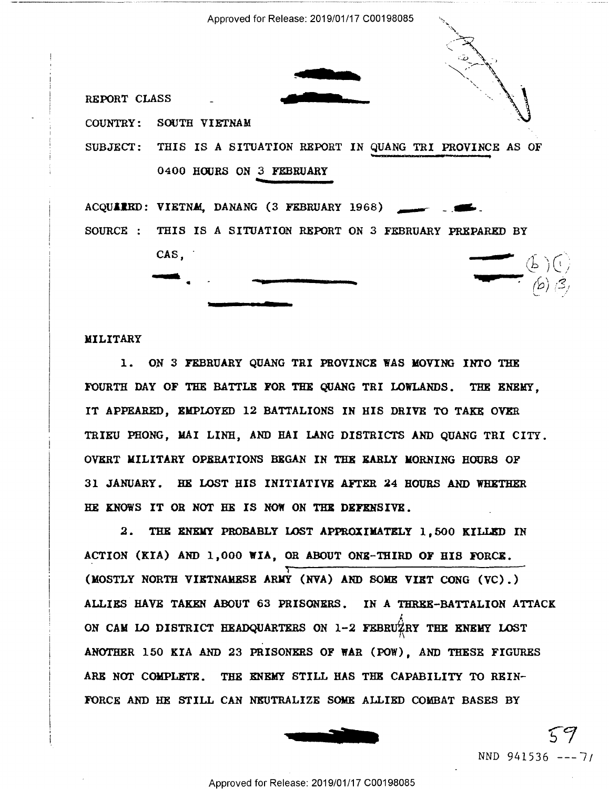Approved for Release: 2019/01/17 C00198085

REPORT CLASS

COUNTRY: SOUTH VIETNAM

SUBJECT: THIS IS A SITUATION REPORT IN QUANG TRI PROVINCE AS OF 0400 HOURS ON 3 FEBRUARY

ACQUARRD: VIETNA, DANANG (3 FEBRUARY 1968) SOURCE : THIS IS A SITUATION REPORT ON 3 FEBRUARY PREPARED BY  $CAS$ .



## MILITARY

1. ON 3 FEBRUARY QUANG TRI PROVINCE WAS MOVING INTO THE FOURTH DAY OF THE BATTLE FOR THE QUANG TRI LOWLANDS. THE ENEMY. IT APPEARED. EMPLOYED 12 BATTALIONS IN HIS DRIVE TO TAKE OVER TRIEU PHONG, MAI LINH, AND HAI LANG DISTRICTS AND QUANG TRI CITY. OVERT MILITARY OPERATIONS BEGAN IN THE EARLY MORNING HOURS OF 31 JANUARY. HE LOST HIS INITIATIVE AFTER 24 HOURS AND WHETHER HE KNOWS IT OR NOT HE IS NOW ON THE DEFENSIVE.

2. THE ENEMY PROBABLY LOST APPROXIMATELY 1.500 KILLED IN ACTION (KIA) AND 1,000 WIA, OR ABOUT ONE-THIRD OF HIS FORCE. (MOSTLY NORTH VIETNAMESE ARMY (NVA) AND SOME VIET CONG (VC).) ALLIES HAVE TAKEN ABOUT 63 PRISONERS. IN A THREE-BATTALION ATTACK ON CAM LO DISTRICT HEADQUARTERS ON 1-2 FEBRUZEY THE ENEMY LOST ANOTHER 150 KIA AND 23 PRISONERS OF WAR (POW). AND THESE FIGURES ARE NOT COMPLETE. THE ENEMY STILL HAS THE CAPABILITY TO REIN-FORCE AND HE STILL CAN NEUTRALIZE SOME ALLIED COMBAT BASES BY



NND 941536 --- 7/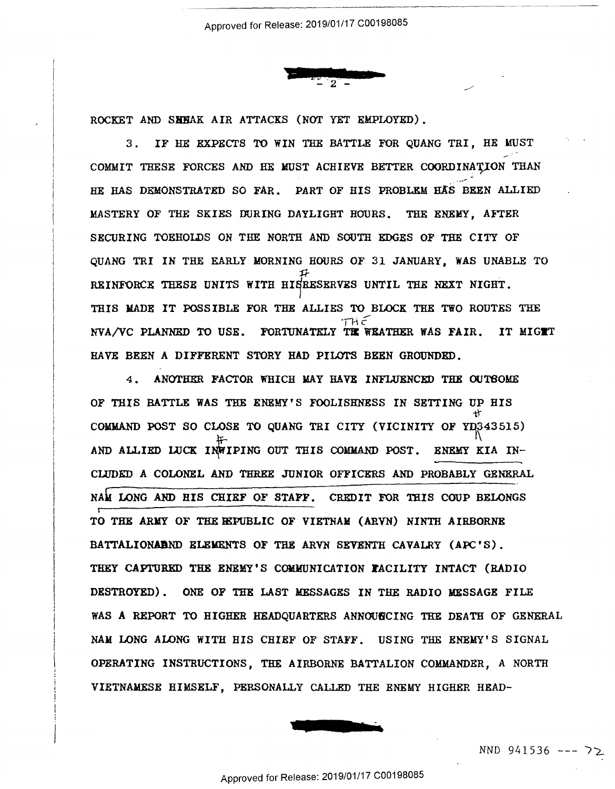

.www.file.com/www.file.org/www.com/www.com/www.com/www.com/www.com/www.com/www.com/www.com/www.com/www.com/www

ROCKET AND SHHAK AIR ATTACKS (NOT YET EMPLOYED).

3. IF HE EXPECTS TO WIN THE BATTLE FOR QUANG TRI, HE MUST COMMIT THESE FORCES AND HE MUST ACHIEVE BETTER COORDINATION THAN ·-·- HE HAS DEMONSTRATED SO FAR. PART OF HIS PROBLEM HAS BEEN ALLIED MASTERY OF THE SKIES DURING DAYLIGHT HOURS. THE ENEMY, AFTER SECURING TOEHOLDS ON THE NORTH AND SOUTH EDGES OF THE CITY OF QUANG TRI IN THE EARLY MORNING HOURS OF 31 JANUARY, WAS UNABLE TO QUANG TRI IN THE EARLY MORNING HOURS OF 31 JANUARY, WAS UNABLE To  ${\mathcal{F}}$ REINFORCE THESE UNITS WITH HI§RESERVES UNTIL THE NEXT NIGHT. THIS MADE IT POSSIBLE FOR THE ALLIES TO BLOCK THE TWO ROUTES THE  $TH\in$ NVA/VC PLANNED TO USE. FORTUNATELY THE WEATHER WAS FAIR. IT MIGTT HAVE BEEN A DIFFERENT STORY HAD PILOTS BEEN GROUNDED. HAVE BEEN A DIFFERENT STORY HAD PILOTS BEEN GROUNDED.

4. ANOTHER FACTOR WHICH MAY HAVE INFLUENCED THE OUTBOME OF THIS BATTLE WAS THE ENEMY'S FOOLISHNESS IN SETTING UP HIS  $~^{\rm tr}$ COMMAND POST SO CLOSE TO QUANG TRI CITY (VICINITY OF YD343515) AND ALLIED LUCK INWIPING OUT THIS COMMAND POST. ENEMY KIA IN-CWDED A COLONEL AND THREE JUNIOR OFFICERS AND PROBABLY GENERAL CLUDED A COLONEL AND THREE JUNIOR OFFICERS AND PROBABLY GENERAL NAM LONG AND HIS CHIEF OF STAFF. CREDIT FOR THIS COUP BELONGS TO THE ARMY OF THE HEPUBLIC OF VIETNAM (ARVN) NINTH AIRBORNE BATTALIONADND ELEMENTS OF THE ARVN SEVENTH CAVALRY (APC'S). THEY CAPTURED THE ENEMY'S COMMUNICATION FACILITY INTACT (RADIO DESTROYED). ONE OF THE LAST MESSAGES IN THE RADIO MESSAGE FILE DESTROYED). ONE OF THE LAST MESSAGES IN THE RADIO MESSAGE FILE WAS A REPORT TO HIGHER HEADQUARTERS ANNOUNCING THE DEATH OF GENERAL HAS A REPORT TO HIGHER HEADQUARTERS ANNOUHCING THE DEATH OF GENERAL NAM LONG ALONG WITH HIS CHIEF OF STAFF. USING THE ENEMY'S SIGNAL NAM LONG ALONG WITH HIS CHIEF OF STAFF. USING THE ENEMY'S SIGNAL OPERATING INSTRUCTIONS, THE AIRBORNE BATTALION COMMANDER, A NORTH OPERATING INSTRUCTIONS, THE AIRBORNE BATTALION COMMANDER, A NORTH VIETNAMESE HIMSELF, PERSONALLY CALLED THE ENEMY HIGHER HEAD-VIETNAMESE HIMSELF, PERSONALLY CALLED TEE ENEMY HIGHER HEAD- WAS A REPORT TO HIGHER HEADQUARTERS ANNOUNCING T<br>
NAM LONG ALONG WITH HIS CHIEF OF STAFF. USING T<br>
OPERATING INSTRUCTIONS, THE AIRBORNE BATTALION C<br>
VIETNAMESE HIMSELF, PERSONALLY CALLED THE ENEMY<br>
Approved for Release: 20 r.\_



NND 941536 --- *1-i\_*  NND 941536 ——— 72.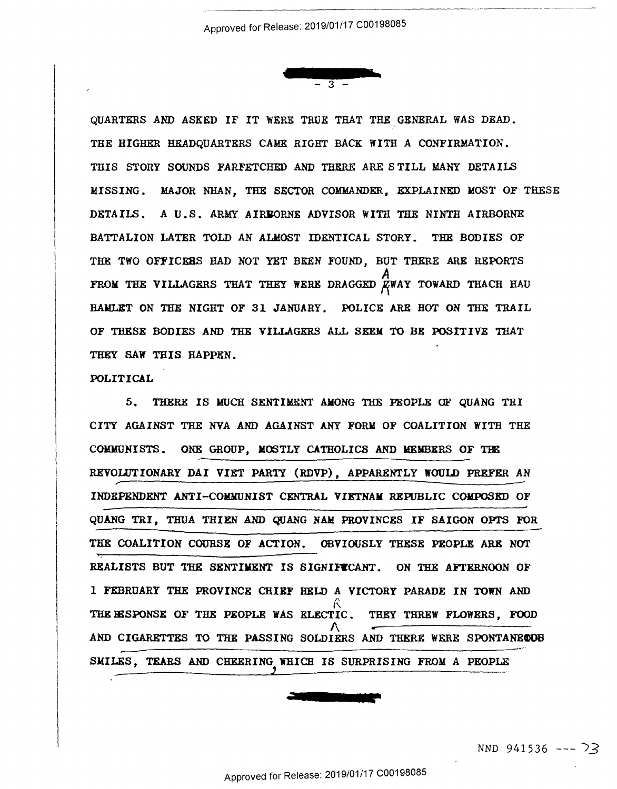

www.com

 $\cdots$  . The construction of the comparison of the construction of the construction  $\cdots$  . The construction of the construction of the construction of the construction of the construction of the construction of the constr

QUARTERS AND ASKED IF IT WERE TRUE THAT THE GENERAL WAS DEAD. THE HIGHER HEADQUARTERS CAME RIGHT BACK WITH A CONFIRMATION. THE HIGHER HEADQUARTERS CAME RIGHT BACK WITH A CONFIRMATION. THIS STORY SOUNDS FARFETCHED AND THERE ARE STILL MANY DETAILS MISSING. MAJOR NHAN, THE SECTOR COMMANDER, EXPLAINED MOST OF THESE MISSING. HAJOR NIIAN, THE SECTOR COHHANDER, EXPLAINED HOST OF THESE DETAILS. A U.S. ARMY AIRBORNE ADVISOR WITH THE NINTH AIRBORNE BATTALION LATER TOLD AN ALMOST IDENTICAL STORY. THE BODIES OF BATTALION LATER TOLD AN ALMOST IDENTICAL STORY. THE BODIES OF THE TWO OFFICERS HAD NOT YET BEEN FOUND, BUT THERE ARE REPORTS *A*  FROM THE VILLAGERS THAT THEY WERE DRAGGED  $\beta$ WAY TOWARD THACH HAU HAMLET ON THE NIGHT OF 31 JANUARY. POLICE ARR BOT ON THE TRAIL HANLET ON THE NIGHT OF 31 JANUARY. POLICE ARE HOT ON THE TRAIL OF THESE BODIES AND THE VILLAGERS ALL SEEM TO BE POSITIVE THAT OF THESE BODIES AND THE YILLAOHRS ALL SEEN TO BE POSITIVE THAT THEY SAW THIS HAPPEN.

## POLITICAL POLITICAL '

5. THERE IS MUCH SENTIMENT AMONG THE PEOPLE OF QUANG THI CITY AGAINST THE NVA AND AGAINST ANY FORM OF COALITION WITH THE CITY AGAINST THE NYA AND AGAINST ANY FORM OF COALITION WITH THE COMMUNISTS. ONE GROUP, MOSTLY CATHOLICS AND MEMBERS OF THE REVOLUTIONARY DAI VIET PARTY (RDVP), APPARENTLY WOULD PREFER AN INDEPENDENT ANTI-COMMUNIST CENTRAL **VIETNAM** REPUBLIC COMPOSED OF INDEPENDENT ANTI—COHUNIST CENTRAL VIETNAH REPUBLIC CONFUSED 0F QUANG TRI, THUA THIEN AND QUANG NAM PROVINCES IF SAIGON OPI'S FOR QUANG TRI, THUA THIEN AND QUANG NAN PROVINCES IF SAIGON OPTS FOR THE COALITION COURSE OF ACTION. OBVIOUSLY THESE PEOPLE ARE NOT REALISTS BUT THE SENTIMENT IS SIGNIFICANT. ON THE AFTERNOON OF l FEBRUARY THE PROVINCE CHIEF HELD A VICTORY PARADE IN TOWN AND 1 FEBRUARY THE PROVINCE CHIEF HELD A VICTORY PARADE IN TOWN AND THE RESPONSE OF THE PEOPLE WAS ELECTIC. THEY THREW FLOWERS, FOOD AND CIGARETTES TO THE PASSING SOLDIERS AND THERE WERE SPONTANECOB SMILES, TEARS AND CHEERING WHICH IS SURPRISING FROM A PEOPLE SHILES, TEARS AND CHEERINGJ WHICH IS SURPRISING FROM A PEOPLE ————-\_.\_\_\_ \_\_\_\_\_..l \_\_\_\_...\_—— ———————————————————— R<sub>a</sub>ndar Samuel Santa Barat ay akan ay isang pangangang manang pangang manang pangang manang pangang manang pang AND CIGARETTES TO THE PASSING SOLDIERS AND THERE WERE SPONTANECOOB \_\_\_.u-—""' r-——-"""'"\_\_

NND 941536 --- 73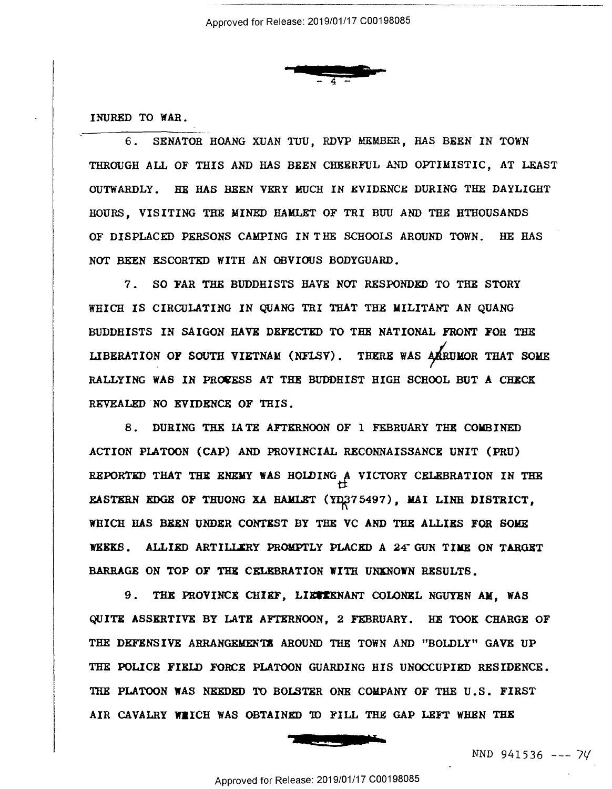

INURED TO WAR. INURED T0 WAR.

———

6. SENATOR HOANG XUAN TUU, RDVP MEMBER, HAS BEEN IN TOWN THROUGH ALL OF THIS AND HAS BEEN CHEERFUL AND OPTIMISTIC, AT LEAST THROUGH ALL OF THIS AND HAS BEEN CHEERFUL AND OPTIMISTIC, AT LEAST OUTWARDLY. HE HAS BEEN VERY MUCH IN EVIDENCE DURING THE DAYLIGHT OUTNARDLY. HE HAS BEEN VERY MUCH IN EVIDENCE DURING THE DAYLIGHT HOURS, VISITING THE MINED HAMLET OF TRI BUU AND THE BTHOUSANDS HOURS, VISITING THE MINED HAMLET OF TRI BUU AND THE HTHOUSANDS OF DISPLACED PERSONS CAMPING IN THE SCHOOLS AROUND TOWN. HE HAS OF DISPLACED PERSONS CAMPING IN"THE SCHOOLS AROUND TOWN. HE HAS NOT BEEN ESCORTED WITH AN OBVIOUS BODYGUARD. NOT BEEN ESCORTED WITH AN OBVIOUS BODYGUARD.

7. SO FAR THE BUDDHISTS HAVE NOT RESPONDED TO THE STORY WHICH IS CIRCULATING IN QUANG TRI THAT THE MILITANT AN QUANG WHICH IS CIRCULATING IN QUANG TRI THAT THE MILITANT AN QUANG BUDDHISTS IN SAIGON HAVE DEFECTED TO THE NATIONAL FRONT FOR THE LIBERATION OF SOUTH VIETNAM (NFLSV). THERE WAS AARUMOR THAT SOME RALLYING WAS IN PROCESS AT THE BUDDHIST HIGH SCHOOL BUT A CHECK REVEALED NO EVIDENCE OF THIS. REVEALED N0 EVIDENCE OF THIS.

8. DURING THE LATE AFTERNOON OF 1 FEBRUARY THE COMBINED ACTION PLATOON (CAP) AND PROVINCIAL RECONNAISSANCE UNIT (PRU) ACTION PLATOON (CAP) AND PROVINCIAL RECONNAISSANCE UNIT (PRU) REPORTED THAT THE ENEMY WAS HOLDING A VICTORY CELEBRATION IN THE EASTERN EDGE OF THUONG XA HAMLET (YD375497), MAI LINH DISTRICT, WHICH HAS BBKN UNDER CONTXST BY THE VC AND THE ALLIRS FOR SOME WHICH HAS BEEN UNDER CONTEST BY THE VC AND THE ALLIES FOR SOME WEEKS. ALLIED ARTILLIRY PROMPTLY PLACED A 24° GUN TIME ON TARGET BARRAGE ON TOP OF THE CELEBRATION WITH UNKNOWN RESULTS.

9. THE PROVINCE CHIEF, LIETIENANT COLONEL NGUYEN AM, WAS QUITE ASSERTIVE BY LATE AFTERNOON, 2 FEBRUARY. HE TOOK CHARGE OF QUITE ASSERTIVE BY LATE AFTERNOON, 2 FEBRUARY. HE TOOK CHARGE OF THE DEFENSIVE ARRANGEMENTS AROUND THE TOWN AND "BOLDLY" GAVE UP THE POLICE FIELD FORCE PLATOON GUARDING HIS UNOCCUPIED RESIDENCE. THE POLICE FIELD FORCE PLATOON GUARDING HIS UNOCCUPIED RESIDENCE. THE PLATOON WAS NEEDED TO BOLSTER ONE COMPANY OF THE U.S. FIRST AIR CAVALRY WIICH WAS OBTAINED TO FILL THE GAP LEFT WHEN THE



*NND* 941536 --- 71/ NND 941536 ——- 7v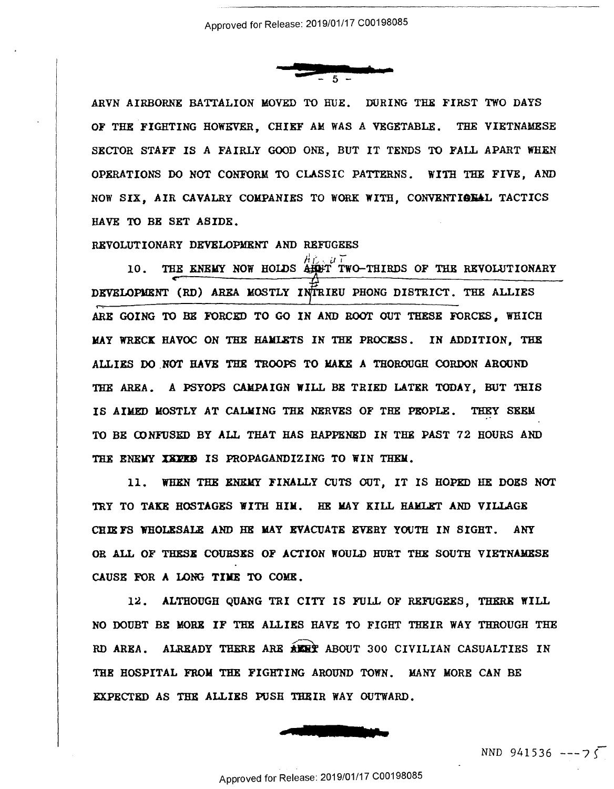

ARVN AIRBORNE BATTALION MOVED TO HUE. DURING THE FIRST TWO DAYS OF THE FIGHTING HOWEVER, CHIEF *AM* WAS A VEGETABLE. THE VIETNAMESE OF THE FIGHTING HOWEVER, CHIEF AM WAS A VEGETABLE. THE VIETNAMESE SECTOR STAFF IS A FAIRLY GOOD ONE, BUT IT TENDS TO FALL APART WHEN SECTOR STAFF IS A FAIRLY GOOD ONE, BUT IT TENDS T0 FALL APART WHEN OPERATIONS DO NOT CONFORM TO CLASSIC PATTERNS. WITH THE FIVE, AND NOW SIX, AIR CAVALRY COMPANIES TO WORK WITH, CONVENTIONAL TACTICS HA VE TO BE SET ASIDE. HAVE To BE SET ASIDE.

REVOLUTIONARY DEVELOPMENT AND REFUGEES REVOLUTIONARY DEVELOPMENT AND REFUGEES

10. THE ENEMY NOW HOLDS  $\overrightarrow{A} \overrightarrow{L} \cdot \overrightarrow{u}$  Two-Thirds of the revolutionary DEVELOPMENT (RD) AREA MOSTLY INTRIEU PHONG DISTRICT. THE ALLIES ARE GOING TO BE FORCED TO GO IN AND ROOT OUT THESE FORCES, WHICH MAY WRECK HAVOC ON THE HAMIETS IN THE PROCESS. IN ADDITION, THE ALLIES DO NOT HAVE THE TROOPS TO MAKE A THOROUGH CORDON AROUND THE AREA. A PSYOPS CAMPAIGN WILL BE TRIED LATER TODAY, BUT THIS IS AIMED MOSTLY AT CALMING THE NERVES OF THE PEOPLE. THEY SEEM TO BE CONFUSED BY ALL THAT HAS HAPPENED IN THE PAST 72 HOURS AND TO BE CONFUSED BY ALL THAT HAS HAPPENED IN THE PAST 72 HOURS AND THE ENEMY XXPRE IS PROPAGANDIZING TO WIN THEM.

11. WHEN THE BNlWY FINALLY CUTS OUT, IT IS HOPED HE DOES NOT 11. WHEN THE ENEMY FINALLY CUTS OUT, IT IS HOPED HE DOES NOT TRY TO TAKE HOSTAGES WITH HIM. HE MAY KILL HAMLET AND VILLAGE CHIEFS WHOLESALE AND HE MAY EVACUATE EVERY YOUTH IN SIGHT. ANY OR ALL OF THESB COURSXS OF ACTION WOULD HURT THE SOUTH VIETNAllESE OR ALL OF THESE COURSES OF ACTION WOULD HURT THE SOUTH VIETNAMESE CAUSE FOR A LONG TIME TO COME. CAUSE FOR A LONG TIME TO COME.

12. ALTHOUGH QUANG TRI CITY IS FULL OF REFUGEES, THERE WILL 12. ALTHOUGH OUANG TRI CITY IS FULL OF REFUGEES, THERE WILL NO DOUBT BE MORE IF THE ALLIES HAVE TO FIGHT THEIR WAY THROUGH THE NO DOUBT BE MORE IF THE ALLIES HAVE TO FIGHT THEIR WAY THROUGH THE RD AREA. ALREADY THERE ARE AERT ABOUT 300 CIVILIAN CASUALTIES IN THE HOSPITAL FROM THE FIGHTING AROUND TOWN. MANY MORE CAN BE THE HOSPITAL FROM THE FIGHTING AROUND TOWN. MANY MORE CAN BE EXPECTED AS THE ALLIES PUSH THEIR WAY OUTWARD. **EXECUTE AND SOME**<br>**EXECUTE THEIR WAY OUTWARD** EXPECTED AS THE ALLIEB PUSH THEIR WAY OUTWARD.



 $NND 941536 --- 75$